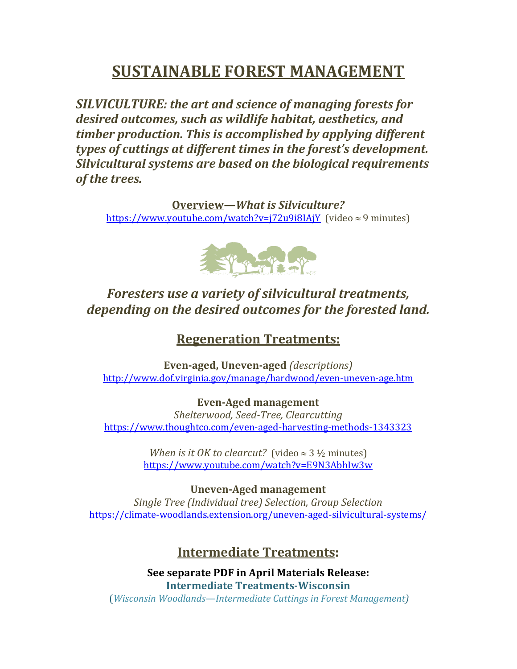# **SUSTAINABLE FOREST MANAGEMENT**

**SILVICULTURE:** the art and science of managing forests for desired outcomes, such as wildlife habitat, aesthetics, and *timber production. This is accomplished by applying different types of cuttings at different times in the forest's development.* **Silvicultural systems are based on the biological requirements** *of the trees.* 

**Overview—***What is Silviculture?* https://www.youtube.com/watch?v=j72u9i8IAjY (video  $\approx$  9 minutes)



## Foresters use a variety of silvicultural treatments, *depending on the desired outcomes for the forested land.*

### **Regeneration Treatments:**

**Even-aged, Uneven-aged** *(descriptions)* http://www.dof.virginia.gov/manage/hardwood/even-uneven-age.htm

**Even-Aged management** *Shelterwood, Seed-Tree, Clearcutting* https://www.thoughtco.com/even-aged-harvesting-methods-1343323

> *When is it OK to clearcut?* (video  $\approx$  3  $\frac{1}{2}$  minutes) https://www.youtube.com/watch?v=E9N3AbhIw3w

**Uneven-Aged management** *Single Tree (Individual tree) Selection, Group Selection* https://climate-woodlands.extension.org/uneven-aged-silvicultural-systems/

### **Intermediate Treatments:**

**See separate PDF in April Materials Release: Intermediate Treatments-Wisconsin** (*Wisconsin Woodlands—Intermediate Cuttings in Forest Management)*